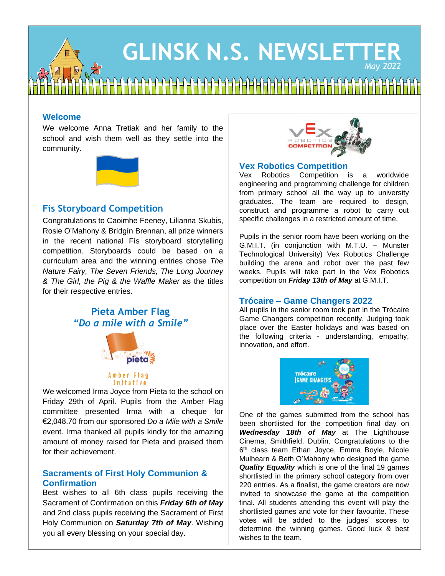# **GLINSK N.S. NEWSLETTER** *May 2022*

## **Welcome**

We welcome Anna Tretiak and her family to the school and wish them well as they settle into the community.



# **Fís Storyboard Competition**

Congratulations to Caoimhe Feeney, Lilianna Skubis, Rosie O'Mahony & Brídgín Brennan, all prize winners in the recent national Fís storyboard storytelling competition. Storyboards could be based on a curriculum area and the winning entries chose *The Nature Fairy, The Seven Friends, The Long Journey & The Girl, the Pig & the Waffle Maker* as the titles for their respective entries.

# **Pieta Amber Flag** *"Do a mile with a Smile"*



#### Amber Flag Initative

We welcomed Irma Joyce from Pieta to the school on Friday 29th of April. Pupils from the Amber Flag committee presented Irma with a cheque for €2,048.70 from our sponsored *Do a Mile with a Smile* event. Irma thanked all pupils kindly for the amazing amount of money raised for Pieta and praised them for their achievement.

#### **Sacraments of First Holy Communion & Confirmation**

Best wishes to all 6th class pupils receiving the Sacrament of Confirmation on this *Friday 6th of May* and 2nd class pupils receiving the Sacrament of First Holy Communion on *Saturday 7th of May*. Wishing you all every blessing on your special day.



#### **Vex Robotics Competition**

Vex Robotics Competition is a worldwide engineering and programming challenge for children from primary school all the way up to university graduates. The team are required to design, construct and programme a robot to carry out specific challenges in a restricted amount of time.

Pupils in the senior room have been working on the G.M.I.T. (in conjunction with M.T.U. – Munster Technological University) Vex Robotics Challenge building the arena and robot over the past few weeks. Pupils will take part in the Vex Robotics competition on *Friday 13th of May* at G.M.I.T.

### **Trócaire – Game Changers 2022**

All pupils in the senior room took part in the Trócaire Game Changers competition recently. Judging took place over the Easter holidays and was based on the following criteria - understanding, empathy, innovation, and effort.



One of the games submitted from the school has been shortlisted for the competition final day on *Wednesday 18th of May* at The Lighthouse Cinema, Smithfield, Dublin. Congratulations to the 6 th class team Ethan Joyce, Emma Boyle, Nicole Mulhearn & Beth O'Mahony who designed the game *Quality Equality* which is one of the final 19 games shortlisted in the primary school category from over 220 entries. As a finalist, the game creators are now invited to showcase the game at the competition final. All students attending this event will play the shortlisted games and vote for their favourite. These votes will be added to the judges' scores to determine the winning games. Good luck & best wishes to the team.